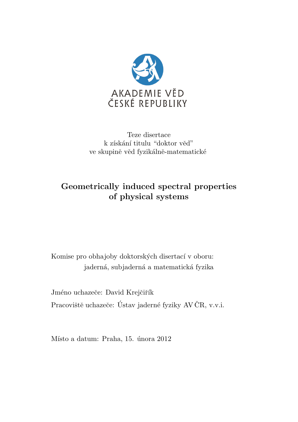

Teze disertace k získání titulu "doktor věd" ve skupině věd fyzikálně-matematické

# Geometrically induced spectral properties of physical systems

Komise pro obhajoby doktorských disertací v oboru: jaderná, subjaderná a matematická fyzika

Jméno uchazeče: David Krejčiřík

Pracoviště uchazeče: Ústav jaderné fyziky AV ČR, v.v.i.

Místo a datum: Praha, 15. února 2012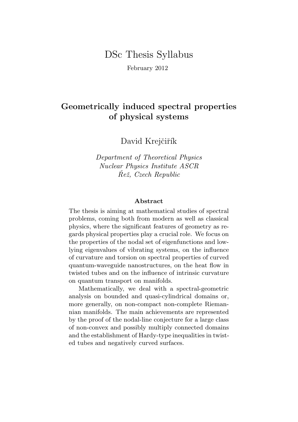# DSc Thesis Syllabus

February 2012

## Geometrically induced spectral properties of physical systems

David Krejčiřík

Department of Theoretical Physics Nuclear Physics Institute ASCR  $\dot{Rez}$ , Czech Republic

#### Abstract

The thesis is aiming at mathematical studies of spectral problems, coming both from modern as well as classical physics, where the significant features of geometry as regards physical properties play a crucial role. We focus on the properties of the nodal set of eigenfunctions and lowlying eigenvalues of vibrating systems, on the influence of curvature and torsion on spectral properties of curved quantum-waveguide nanostructures, on the heat flow in twisted tubes and on the influence of intrinsic curvature on quantum transport on manifolds.

Mathematically, we deal with a spectral-geometric analysis on bounded and quasi-cylindrical domains or, more generally, on non-compact non-complete Riemannian manifolds. The main achievements are represented by the proof of the nodal-line conjecture for a large class of non-convex and possibly multiply connected domains and the establishment of Hardy-type inequalities in twisted tubes and negatively curved surfaces.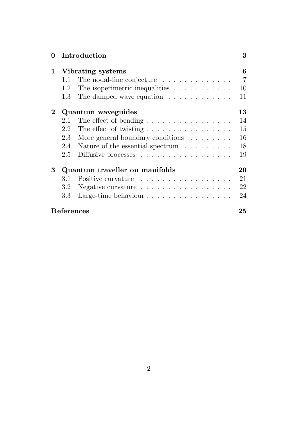| 0              | Introduction                   |                                                             | 3              |
|----------------|--------------------------------|-------------------------------------------------------------|----------------|
| 1.             | Vibrating systems              |                                                             |                |
|                | 1.1                            | The nodal-line conjecture $\ldots \ldots \ldots \ldots$     | $\overline{7}$ |
|                | 1.2                            | The isoperimetric inequalities $\ldots \ldots \ldots$       | 10             |
|                | 1.3                            | The damped wave equation $\ldots \ldots \ldots \ldots$      | 11             |
| $\overline{2}$ | Quantum waveguides             |                                                             |                |
|                | 2.1                            | The effect of bending $\dots \dots \dots \dots \dots \dots$ | 14             |
|                | 2.2                            | The effect of twisting $\ldots \ldots \ldots \ldots \ldots$ | 15             |
|                | 2.3                            | More general boundary conditions $\ldots \ldots$            | 16             |
|                | 2.4                            | Nature of the essential spectrum $\ldots \ldots$            | 18             |
|                | 2.5                            | Diffusive processes                                         | 19             |
| 3              | Quantum traveller on manifolds |                                                             | 20             |
|                | 3.1                            | Positive curvature                                          | 21             |
|                | 3.2                            | Negative curvature $\dots \dots \dots \dots \dots \dots$    | 22             |
|                | 3.3                            | Large-time behaviour $\dots \dots \dots \dots \dots \dots$  | 24             |
| References     |                                |                                                             | 25             |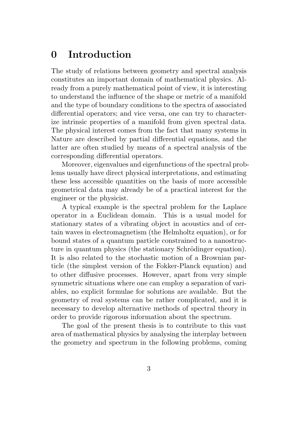## 0 Introduction

The study of relations between geometry and spectral analysis constitutes an important domain of mathematical physics. Already from a purely mathematical point of view, it is interesting to understand the influence of the shape or metric of a manifold and the type of boundary conditions to the spectra of associated differential operators; and vice versa, one can try to characterize intrinsic properties of a manifold from given spectral data. The physical interest comes from the fact that many systems in Nature are described by partial differential equations, and the latter are often studied by means of a spectral analysis of the corresponding differential operators.

Moreover, eigenvalues and eigenfunctions of the spectral problems usually have direct physical interpretations, and estimating these less accessible quantities on the basis of more accessible geometrical data may already be of a practical interest for the engineer or the physicist.

A typical example is the spectral problem for the Laplace operator in a Euclidean domain. This is a usual model for stationary states of a vibrating object in acoustics and of certain waves in electromagnetism (the Helmholtz equation), or for bound states of a quantum particle constrained to a nanostructure in quantum physics (the stationary Schrödinger equation). It is also related to the stochastic motion of a Brownian particle (the simplest version of the Fokker-Planck equation) and to other diffusive processes. However, apart from very simple symmetric situations where one can employ a separation of variables, no explicit formulae for solutions are available. But the geometry of real systems can be rather complicated, and it is necessary to develop alternative methods of spectral theory in order to provide rigorous information about the spectrum.

The goal of the present thesis is to contribute to this vast area of mathematical physics by analysing the interplay between the geometry and spectrum in the following problems, coming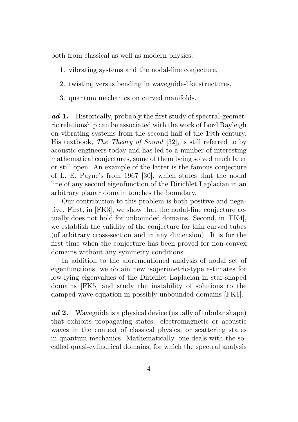both from classical as well as modern physics:

- 1. vibrating systems and the nodal-line conjecture,
- 2. twisting versus bending in waveguide-like structures,
- 3. quantum mechanics on curved manifolds.

ad 1. Historically, probably the first study of spectral-geometric relationship can be associated with the work of Lord Rayleigh on vibrating systems from the second half of the 19th century. His textbook, The Theory of Sound [32], is still referred to by acoustic engineers today and has led to a number of interesting mathematical conjectures, some of them being solved much later or still open. An example of the latter is the famous conjecture of L. E. Payne's from 1967 [30], which states that the nodal line of any second eigenfunction of the Dirichlet Laplacian in an arbitrary planar domain touches the boundary.

Our contribution to this problem is both positive and negative. First, in [FK3], we show that the nodal-line conjecture actually does not hold for unbounded domains. Second, in [FK4], we establish the validity of the conjecture for thin curved tubes (of arbitrary cross-section and in any dimension). It is for the first time when the conjecture has been proved for non-convex domains without any symmetry conditions.

In addition to the aforementioned analysis of nodal set of eigenfunctions, we obtain new isoperimetric-type estimates for low-lying eigenvalues of the Dirichlet Laplacian in star-shaped domains [FK5] and study the instability of solutions to the damped wave equation in possibly unbounded domains [FK1].

ad 2. Waveguide is a physical device (usually of tubular shape) that exhibits propagating states: electromagnetic or acoustic waves in the context of classical physics, or scattering states in quantum mechanics. Mathematically, one deals with the socalled quasi-cylindrical domains, for which the spectral analysis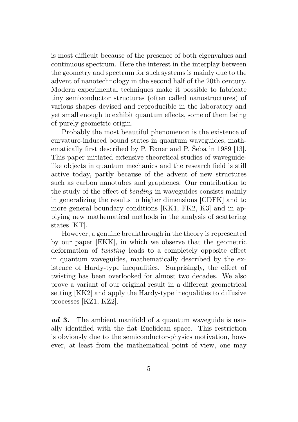is most difficult because of the presence of both eigenvalues and continuous spectrum. Here the interest in the interplay between the geometry and spectrum for such systems is mainly due to the advent of nanotechnology in the second half of the 20th century. Modern experimental techniques make it possible to fabricate tiny semiconductor structures (often called nanostructures) of various shapes devised and reproducible in the laboratory and yet small enough to exhibit quantum effects, some of them being of purely geometric origin.

Probably the most beautiful phenomenon is the existence of curvature-induced bound states in quantum waveguides, mathematically first described by P. Exner and P. Šeba in  $1989$  [13]. This paper initiated extensive theoretical studies of waveguidelike objects in quantum mechanics and the research field is still active today, partly because of the advent of new structures such as carbon nanotubes and graphenes. Our contribution to the study of the effect of bending in waveguides consists mainly in generalizing the results to higher dimensions [CDFK] and to more general boundary conditions [KK1, FK2, K3] and in applying new mathematical methods in the analysis of scattering states [KT].

However, a genuine breakthrough in the theory is represented by our paper [EKK], in which we observe that the geometric deformation of twisting leads to a completely opposite effect in quantum waveguides, mathematically described by the existence of Hardy-type inequalities. Surprisingly, the effect of twisting has been overlooked for almost two decades. We also prove a variant of our original result in a different geometrical setting [KK2] and apply the Hardy-type inequalities to diffusive processes [KZ1, KZ2].

ad 3. The ambient manifold of a quantum waveguide is usually identified with the flat Euclidean space. This restriction is obviously due to the semiconductor-physics motivation, however, at least from the mathematical point of view, one may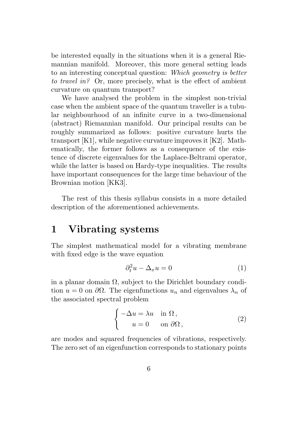be interested equally in the situations when it is a general Riemannian manifold. Moreover, this more general setting leads to an interesting conceptual question: Which geometry is better to travel in? Or, more precisely, what is the effect of ambient curvature on quantum transport?

We have analysed the problem in the simplest non-trivial case when the ambient space of the quantum traveller is a tubular neighbourhood of an infinite curve in a two-dimensional (abstract) Riemannian manifold. Our principal results can be roughly summarized as follows: positive curvature hurts the transport [K1], while negative curvature improves it [K2]. Mathematically, the former follows as a consequence of the existence of discrete eigenvalues for the Laplace-Beltrami operator, while the latter is based on Hardy-type inequalities. The results have important consequences for the large time behaviour of the Brownian motion [KK3].

The rest of this thesis syllabus consists in a more detailed description of the aforementioned achievements.

## 1 Vibrating systems

The simplest mathematical model for a vibrating membrane with fixed edge is the wave equation

$$
\partial_t^2 u - \Delta_x u = 0 \tag{1}
$$

in a planar domain  $\Omega$ , subject to the Dirichlet boundary condition  $u = 0$  on  $\partial\Omega$ . The eigenfunctions  $u_n$  and eigenvalues  $\lambda_n$  of the associated spectral problem

$$
\begin{cases}\n-\Delta u = \lambda u & \text{in } \Omega, \\
u = 0 & \text{on } \partial\Omega,\n\end{cases}
$$
\n(2)

are modes and squared frequencies of vibrations, respectively. The zero set of an eigenfunction corresponds to stationary points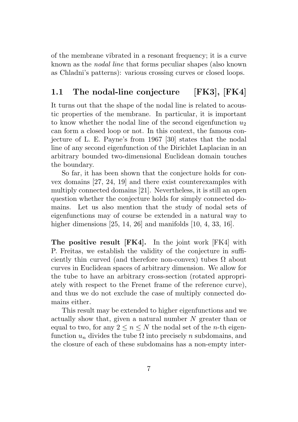of the membrane vibrated in a resonant frequency; it is a curve known as the nodal line that forms peculiar shapes (also known as Chladni's patterns): various crossing curves or closed loops.

### 1.1 The nodal-line conjecture [FK3], [FK4]

It turns out that the shape of the nodal line is related to acoustic properties of the membrane. In particular, it is important to know whether the nodal line of the second eigenfunction  $u_2$ can form a closed loop or not. In this context, the famous conjecture of L. E. Payne's from 1967 [30] states that the nodal line of any second eigenfunction of the Dirichlet Laplacian in an arbitrary bounded two-dimensional Euclidean domain touches the boundary.

So far, it has been shown that the conjecture holds for convex domains [27, 24, 19] and there exist counterexamples with multiply connected domains [21]. Nevertheless, it is still an open question whether the conjecture holds for simply connected domains. Let us also mention that the study of nodal sets of eigenfunctions may of course be extended in a natural way to higher dimensions [25, 14, 26] and manifolds [10, 4, 33, 16].

The positive result [FK4]. In the joint work [FK4] with P. Freitas, we establish the validity of the conjecture in sufficiently thin curved (and therefore non-convex) tubes  $\Omega$  about curves in Euclidean spaces of arbitrary dimension. We allow for the tube to have an arbitrary cross-section (rotated appropriately with respect to the Frenet frame of the reference curve), and thus we do not exclude the case of multiply connected domains either.

This result may be extended to higher eigenfunctions and we actually show that, given a natural number N greater than or equal to two, for any  $2 \leq n \leq N$  the nodal set of the *n*-th eigenfunction  $u_n$  divides the tube  $\Omega$  into precisely n subdomains, and the closure of each of these subdomains has a non-empty inter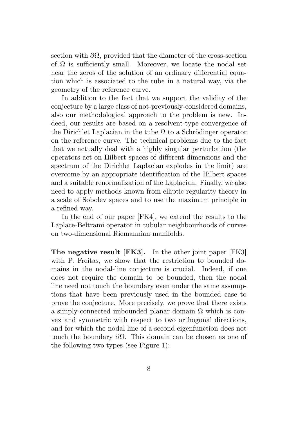section with  $\partial\Omega$ , provided that the diameter of the cross-section of  $\Omega$  is sufficiently small. Moreover, we locate the nodal set near the zeros of the solution of an ordinary differential equation which is associated to the tube in a natural way, via the geometry of the reference curve.

In addition to the fact that we support the validity of the conjecture by a large class of not-previously-considered domains, also our methodological approach to the problem is new. Indeed, our results are based on a resolvent-type convergence of the Dirichlet Laplacian in the tube  $\Omega$  to a Schrödinger operator on the reference curve. The technical problems due to the fact that we actually deal with a highly singular perturbation (the operators act on Hilbert spaces of different dimensions and the spectrum of the Dirichlet Laplacian explodes in the limit) are overcome by an appropriate identification of the Hilbert spaces and a suitable renormalization of the Laplacian. Finally, we also need to apply methods known from elliptic regularity theory in a scale of Sobolev spaces and to use the maximum principle in a refined way.

In the end of our paper [FK4], we extend the results to the Laplace-Beltrami operator in tubular neighbourhoods of curves on two-dimensional Riemannian manifolds.

The negative result [FK3]. In the other joint paper [FK3] with P. Freitas, we show that the restriction to bounded domains in the nodal-line conjecture is crucial. Indeed, if one does not require the domain to be bounded, then the nodal line need not touch the boundary even under the same assumptions that have been previously used in the bounded case to prove the conjecture. More precisely, we prove that there exists a simply-connected unbounded planar domain  $\Omega$  which is convex and symmetric with respect to two orthogonal directions, and for which the nodal line of a second eigenfunction does not touch the boundary  $\partial\Omega$ . This domain can be chosen as one of the following two types (see Figure 1):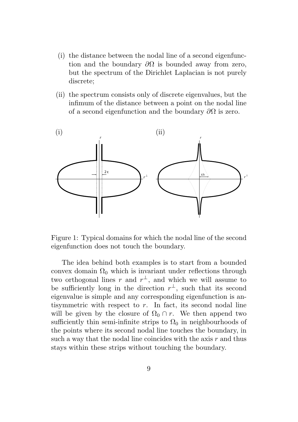- (i) the distance between the nodal line of a second eigenfunction and the boundary  $\partial\Omega$  is bounded away from zero, but the spectrum of the Dirichlet Laplacian is not purely discrete;
- (ii) the spectrum consists only of discrete eigenvalues, but the infimum of the distance between a point on the nodal line of a second eigenfunction and the boundary  $\partial\Omega$  is zero.



Figure 1: Typical domains for which the nodal line of the second eigenfunction does not touch the boundary.

The idea behind both examples is to start from a bounded convex domain  $\Omega_0$  which is invariant under reflections through two orthogonal lines r and  $r^{\perp}$ , and which we will assume to be sufficiently long in the direction  $r^{\perp}$ , such that its second eigenvalue is simple and any corresponding eigenfunction is antisymmetric with respect to  $r$ . In fact, its second nodal line will be given by the closure of  $\Omega_0 \cap r$ . We then append two sufficiently thin semi-infinite strips to  $\Omega_0$  in neighbourhoods of the points where its second nodal line touches the boundary, in such a way that the nodal line coincides with the axis  $r$  and thus stays within these strips without touching the boundary.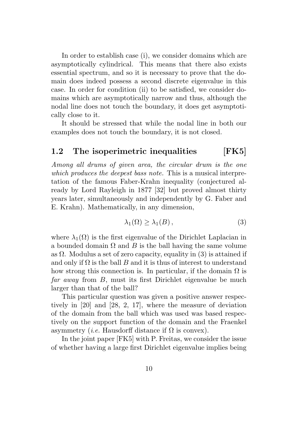In order to establish case (i), we consider domains which are asymptotically cylindrical. This means that there also exists essential spectrum, and so it is necessary to prove that the domain does indeed possess a second discrete eigenvalue in this case. In order for condition (ii) to be satisfied, we consider domains which are asymptotically narrow and thus, although the nodal line does not touch the boundary, it does get asymptotically close to it.

It should be stressed that while the nodal line in both our examples does not touch the boundary, it is not closed.

#### 1.2 The isoperimetric inequalities [FK5]

Among all drums of given area, the circular drum is the one which produces the deepest bass note. This is a musical interpretation of the famous Faber-Krahn inequality (conjectured already by Lord Rayleigh in 1877 [32] but proved almost thirty years later, simultaneously and independently by G. Faber and E. Krahn). Mathematically, in any dimension,

$$
\lambda_1(\Omega) \ge \lambda_1(B),\tag{3}
$$

where  $\lambda_1(\Omega)$  is the first eigenvalue of the Dirichlet Laplacian in a bounded domain  $\Omega$  and  $B$  is the ball having the same volume as  $\Omega$ . Modulus a set of zero capacity, equality in (3) is attained if and only if  $\Omega$  is the ball B and it is thus of interest to understand how strong this connection is. In particular, if the domain  $\Omega$  is far away from B, must its first Dirichlet eigenvalue be much larger than that of the ball?

This particular question was given a positive answer respectively in [20] and [28, 2, 17], where the measure of deviation of the domain from the ball which was used was based respectively on the support function of the domain and the Fraenkel asymmetry (*i.e.* Hausdorff distance if  $\Omega$  is convex).

In the joint paper [FK5] with P. Freitas, we consider the issue of whether having a large first Dirichlet eigenvalue implies being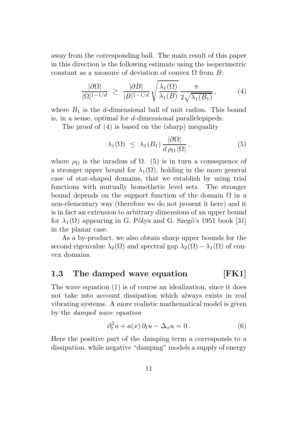away from the corresponding ball. The main result of this paper in this direction is the following estimate using the isoperimetric constant as a measure of deviation of convex  $\Omega$  from B:

$$
\frac{|\partial\Omega|}{|\Omega|^{1-1/d}} \ge \frac{|\partial B|}{|B|^{1-1/d}} \sqrt{\frac{\lambda_1(\Omega)}{\lambda_1(B)}} \frac{\pi}{2\sqrt{\lambda_1(B_1)}},\tag{4}
$$

where  $B_1$  is the d-dimensional ball of unit radius. This bound is, in a sense, optimal for d-dimensional parallelepipeds.

The proof of (4) is based on the (sharp) inequality

$$
\lambda_1(\Omega) \leq \lambda_1(B_1) \frac{|\partial \Omega|}{d \rho_{\Omega} |\Omega|}, \qquad (5)
$$

where  $\rho_{\Omega}$  is the inradius of  $\Omega$ . (5) is in turn a consequence of a stronger upper bound for  $\lambda_1(\Omega)$ , holding in the more general case of star-shaped domains, that we establish by using trial functions with mutually homothetic level sets. The stronger bound depends on the support function of the domain  $\Omega$  in a non-elementary way (therefore we do not present it here) and it is in fact an extension to arbitrary dimensions of an upper bound for  $\lambda_1(\Omega)$  appearing in G. Pólya and G. Szegö's 1951 book [31] in the planar case.

As a by-product, we also obtain sharp upper bounds for the second eigenvalue  $\lambda_2(\Omega)$  and spectral gap  $\lambda_2(\Omega) - \lambda_1(\Omega)$  of convex domains.

### 1.3 The damped wave equation [FK1]

The wave equation (1) is of course an idealization, since it does not take into account dissipation which always exists in real vibrating systems. A more realistic mathematical model is given by the damped wave equation

$$
\partial_t^2 u + a(x)\,\partial_t u - \Delta_x u = 0\,. \tag{6}
$$

Here the positive part of the damping term a corresponds to a dissipation, while negative "damping" models a supply of energy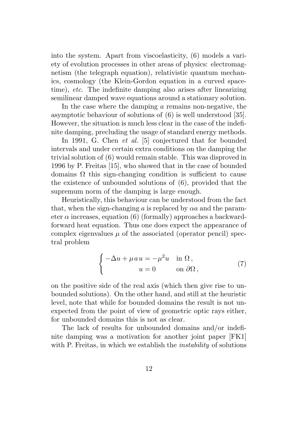into the system. Apart from viscoelasticity, (6) models a variety of evolution processes in other areas of physics: electromagnetism (the telegraph equation), relativistic quantum mechanics, cosmology (the Klein-Gordon equation in a curved spacetime), etc. The indefinite damping also arises after linearizing semilinear damped wave equations around a stationary solution.

In the case where the damping a remains non-negative, the asymptotic behaviour of solutions of (6) is well understood [35]. However, the situation is much less clear in the case of the indefinite damping, precluding the usage of standard energy methods.

In 1991, G. Chen *et al.* [5] conjectured that for bounded intervals and under certain extra conditions on the damping the trivial solution of (6) would remain stable. This was disproved in 1996 by P. Freitas [15], who showed that in the case of bounded domains  $\Omega$  this sign-changing condition is sufficient to cause the existence of unbounded solutions of (6), provided that the supremum norm of the damping is large enough.

Heuristically, this behaviour can be understood from the fact that, when the sign-changing a is replaced by  $\alpha a$  and the parameter  $\alpha$  increases, equation (6) (formally) approaches a backwardforward heat equation. Thus one does expect the appearance of complex eigenvalues  $\mu$  of the associated (operator pencil) spectral problem

$$
\begin{cases}\n-\Delta u + \mu a u = -\mu^2 u & \text{in } \Omega, \\
u = 0 & \text{on } \partial\Omega,\n\end{cases}
$$
\n(7)

on the positive side of the real axis (which then give rise to unbounded solutions). On the other hand, and still at the heuristic level, note that while for bounded domains the result is not unexpected from the point of view of geometric optic rays either, for unbounded domains this is not as clear.

The lack of results for unbounded domains and/or indefinite damping was a motivation for another joint paper [FK1] with P. Freitas, in which we establish the *instability* of solutions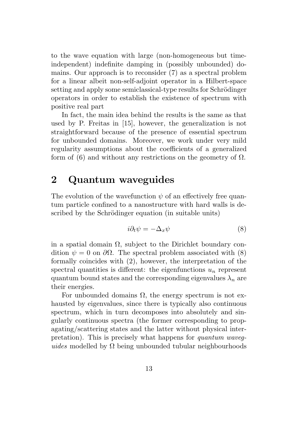to the wave equation with large (non-homogeneous but timeindependent) indefinite damping in (possibly unbounded) domains. Our approach is to reconsider (7) as a spectral problem for a linear albeit non-self-adjoint operator in a Hilbert-space setting and apply some semiclassical-type results for Schrödinger operators in order to establish the existence of spectrum with positive real part

In fact, the main idea behind the results is the same as that used by P. Freitas in [15], however, the generalization is not straightforward because of the presence of essential spectrum for unbounded domains. Moreover, we work under very mild regularity assumptions about the coefficients of a generalized form of (6) and without any restrictions on the geometry of  $\Omega$ .

## 2 Quantum waveguides

The evolution of the wavefunction  $\psi$  of an effectively free quantum particle confined to a nanostructure with hard walls is described by the Schrödinger equation (in suitable units)

$$
i\partial_t \psi = -\Delta_x \psi \tag{8}
$$

in a spatial domain  $\Omega$ , subject to the Dirichlet boundary condition  $\psi = 0$  on  $\partial\Omega$ . The spectral problem associated with (8) formally coincides with (2), however, the interpretation of the spectral quantities is different: the eigenfunctions  $u_n$  represent quantum bound states and the corresponding eigenvalues  $\lambda_n$  are their energies.

For unbounded domains  $\Omega$ , the energy spectrum is not exhausted by eigenvalues, since there is typically also continuous spectrum, which in turn decomposes into absolutely and singularly continuous spectra (the former corresponding to propagating/scattering states and the latter without physical interpretation). This is precisely what happens for quantum waveguides modelled by  $\Omega$  being unbounded tubular neighbourhoods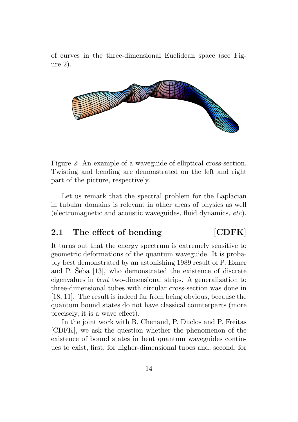of curves in the three-dimensional Euclidean space (see Figure 2).



Figure 2: An example of a waveguide of elliptical cross-section. Twisting and bending are demonstrated on the left and right part of the picture, respectively.

Let us remark that the spectral problem for the Laplacian in tubular domains is relevant in other areas of physics as well (electromagnetic and acoustic waveguides, fluid dynamics, etc).

### 2.1 The effect of bending [CDFK]

It turns out that the energy spectrum is extremely sensitive to geometric deformations of the quantum waveguide. It is probably best demonstrated by an astonishing 1989 result of P. Exner and P. Seba  $[13]$ , who demonstrated the existence of discrete eigenvalues in bent two-dimensional strips. A generalization to three-dimensional tubes with circular cross-section was done in [18, 11]. The result is indeed far from being obvious, because the quantum bound states do not have classical counterparts (more precisely, it is a wave effect).

In the joint work with B. Chenaud, P. Duclos and P. Freitas [CDFK], we ask the question whether the phenomenon of the existence of bound states in bent quantum waveguides continues to exist, first, for higher-dimensional tubes and, second, for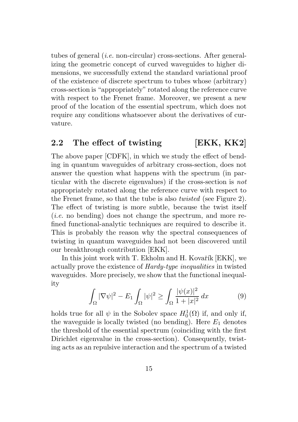tubes of general  $(i.e.$  non-circular) cross-sections. After generalizing the geometric concept of curved waveguides to higher dimensions, we successfully extend the standard variational proof of the existence of discrete spectrum to tubes whose (arbitrary) cross-section is "appropriately" rotated along the reference curve with respect to the Frenet frame. Moreover, we present a new proof of the location of the essential spectrum, which does not require any conditions whatsoever about the derivatives of curvature.

### 2.2 The effect of twisting [EKK, KK2]

The above paper [CDFK], in which we study the effect of bending in quantum waveguides of arbitrary cross-section, does not answer the question what happens with the spectrum (in particular with the discrete eigenvalues) if the cross-section is not appropriately rotated along the reference curve with respect to the Frenet frame, so that the tube is also twisted (see Figure 2). The effect of twisting is more subtle, because the twist itself  $(i.e.$  no bending) does not change the spectrum, and more refined functional-analytic techniques are required to describe it. This is probably the reason why the spectral consequences of twisting in quantum waveguides had not been discovered until our breakthrough contribution [EKK].

In this joint work with T. Ekholm and H. Kovařík [EKK], we actually prove the existence of Hardy-type inequalities in twisted waveguides. More precisely, we show that the functional inequality

$$
\int_{\Omega} |\nabla \psi|^2 - E_1 \int_{\Omega} |\psi|^2 \ge \int_{\Omega} \frac{|\psi(x)|^2}{1 + |x|^2} dx \tag{9}
$$

holds true for all  $\psi$  in the Sobolev space  $H_0^1(\Omega)$  if, and only if, the waveguide is locally twisted (no bending). Here  $E_1$  denotes the threshold of the essential spectrum (coinciding with the first Dirichlet eigenvalue in the cross-section). Consequently, twisting acts as an repulsive interaction and the spectrum of a twisted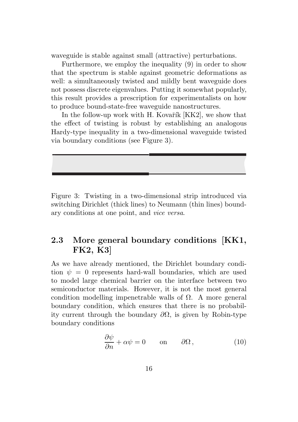waveguide is stable against small (attractive) perturbations.

Furthermore, we employ the inequality (9) in order to show that the spectrum is stable against geometric deformations as well: a simultaneously twisted and mildly bent waveguide does not possess discrete eigenvalues. Putting it somewhat popularly, this result provides a prescription for experimentalists on how to produce bound-state-free waveguide nanostructures.

In the follow-up work with H. Kovařík  $[KK2]$ , we show that the effect of twisting is robust by establishing an analogous Hardy-type inequality in a two-dimensional waveguide twisted via boundary conditions (see Figure 3).

Figure 3: Twisting in a two-dimensional strip introduced via switching Dirichlet (thick lines) to Neumann (thin lines) boundary conditions at one point, and vice versa.

## 2.3 More general boundary conditions [KK1, FK2, K3]

As we have already mentioned, the Dirichlet boundary condition  $\psi = 0$  represents hard-wall boundaries, which are used to model large chemical barrier on the interface between two semiconductor materials. However, it is not the most general condition modelling impenetrable walls of Ω. A more general boundary condition, which ensures that there is no probability current through the boundary  $\partial\Omega$ , is given by Robin-type boundary conditions

$$
\frac{\partial \psi}{\partial n} + \alpha \psi = 0 \qquad \text{on} \qquad \partial \Omega, \qquad (10)
$$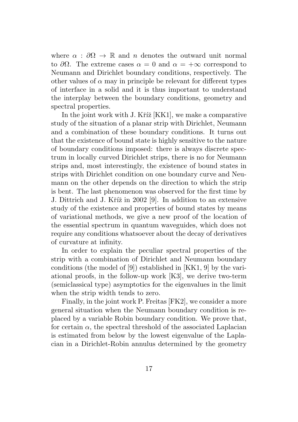where  $\alpha$ :  $\partial\Omega \to \mathbb{R}$  and n denotes the outward unit normal to  $\partial\Omega$ . The extreme cases  $\alpha = 0$  and  $\alpha = +\infty$  correspond to Neumann and Dirichlet boundary conditions, respectively. The other values of  $\alpha$  may in principle be relevant for different types of interface in a solid and it is thus important to understand the interplay between the boundary conditions, geometry and spectral properties.

In the joint work with J. Kr̃i $\tilde{z}$  [KK1], we make a comparative study of the situation of a planar strip with Dirichlet, Neumann and a combination of these boundary conditions. It turns out that the existence of bound state is highly sensitive to the nature of boundary conditions imposed: there is always discrete spectrum in locally curved Dirichlet strips, there is no for Neumann strips and, most interestingly, the existence of bound states in strips with Dirichlet condition on one boundary curve and Neumann on the other depends on the direction to which the strip is bent. The last phenomenon was observed for the first time by J. Dittrich and J. Kříž in 2002 [9]. In addition to an extensive study of the existence and properties of bound states by means of variational methods, we give a new proof of the location of the essential spectrum in quantum waveguides, which does not require any conditions whatsoever about the decay of derivatives of curvature at infinity.

In order to explain the peculiar spectral properties of the strip with a combination of Dirichlet and Neumann boundary conditions (the model of [9]) established in [KK1, 9] by the variational proofs, in the follow-up work [K3], we derive two-term (semiclassical type) asymptotics for the eigenvalues in the limit when the strip width tends to zero.

Finally, in the joint work P. Freitas [FK2], we consider a more general situation when the Neumann boundary condition is replaced by a variable Robin boundary condition. We prove that, for certain  $\alpha$ , the spectral threshold of the associated Laplacian is estimated from below by the lowest eigenvalue of the Laplacian in a Dirichlet-Robin annulus determined by the geometry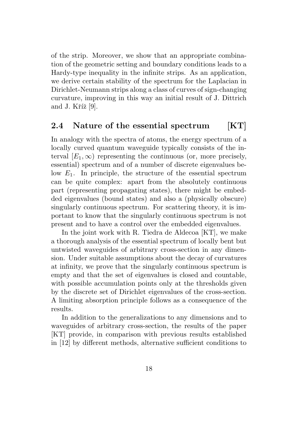of the strip. Moreover, we show that an appropriate combination of the geometric setting and boundary conditions leads to a Hardy-type inequality in the infinite strips. As an application, we derive certain stability of the spectrum for the Laplacian in Dirichlet-Neumann strips along a class of curves of sign-changing curvature, improving in this way an initial result of J. Dittrich and J. Kříž [9].

### 2.4 Nature of the essential spectrum [KT]

In analogy with the spectra of atoms, the energy spectrum of a locally curved quantum waveguide typically consists of the interval  $[E_1, \infty)$  representing the continuous (or, more precisely, essential) spectrum and of a number of discrete eigenvalues below  $E_1$ . In principle, the structure of the essential spectrum can be quite complex: apart from the absolutely continuous part (representing propagating states), there might be embedded eigenvalues (bound states) and also a (physically obscure) singularly continuous spectrum. For scattering theory, it is important to know that the singularly continuous spectrum is not present and to have a control over the embedded eigenvalues.

In the joint work with R. Tiedra de Aldecoa [KT], we make a thorough analysis of the essential spectrum of locally bent but untwisted waveguides of arbitrary cross-section in any dimension. Under suitable assumptions about the decay of curvatures at infinity, we prove that the singularly continuous spectrum is empty and that the set of eigenvalues is closed and countable, with possible accumulation points only at the thresholds given by the discrete set of Dirichlet eigenvalues of the cross-section. A limiting absorption principle follows as a consequence of the results.

In addition to the generalizations to any dimensions and to waveguides of arbitrary cross-section, the results of the paper [KT] provide, in comparison with previous results established in [12] by different methods, alternative sufficient conditions to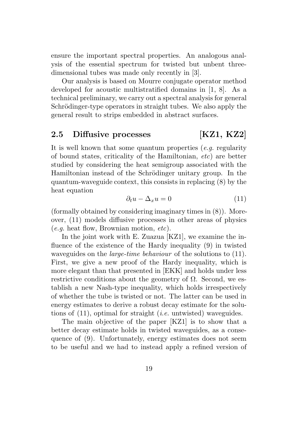ensure the important spectral properties. An analogous analysis of the essential spectrum for twisted but unbent threedimensional tubes was made only recently in [3].

Our analysis is based on Mourre conjugate operator method developed for acoustic multistratified domains in [1, 8]. As a technical preliminary, we carry out a spectral analysis for general Schrödinger-type operators in straight tubes. We also apply the general result to strips embedded in abstract surfaces.

### 2.5 Diffusive processes [KZ1, KZ2]

It is well known that some quantum properties *(e.g.* regularity of bound states, criticality of the Hamiltonian, etc) are better studied by considering the heat semigroup associated with the Hamiltonian instead of the Schrödinger unitary group. In the quantum-waveguide context, this consists in replacing (8) by the heat equation

$$
\partial_t u - \Delta_x u = 0 \tag{11}
$$

(formally obtained by considering imaginary times in (8)). Moreover, (11) models diffusive processes in other areas of physics  $(e.g.$  heat flow, Brownian motion,  $etc$ ).

In the joint work with E. Zuazua [KZ1], we examine the influence of the existence of the Hardy inequality (9) in twisted waveguides on the *large-time behaviour* of the solutions to  $(11)$ . First, we give a new proof of the Hardy inequality, which is more elegant than that presented in [EKK] and holds under less restrictive conditions about the geometry of  $\Omega$ . Second, we establish a new Nash-type inequality, which holds irrespectively of whether the tube is twisted or not. The latter can be used in energy estimates to derive a robust decay estimate for the solutions of (11), optimal for straight (i.e. untwisted) waveguides.

The main objective of the paper [KZ1] is to show that a better decay estimate holds in twisted waveguides, as a consequence of (9). Unfortunately, energy estimates does not seem to be useful and we had to instead apply a refined version of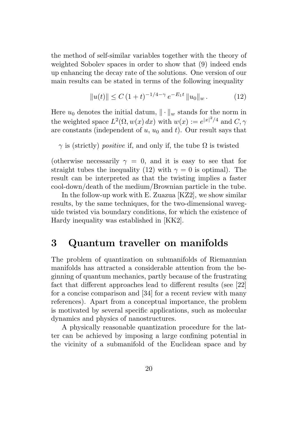the method of self-similar variables together with the theory of weighted Sobolev spaces in order to show that (9) indeed ends up enhancing the decay rate of the solutions. One version of our main results can be stated in terms of the following inequality

$$
||u(t)|| \le C (1+t)^{-1/4 - \gamma} e^{-E_1 t} ||u_0||_w.
$$
 (12)

Here  $u_0$  denotes the initial datum,  $\|\cdot\|_w$  stands for the norm in the weighted space  $L^2(\Omega, w(x) dx)$  with  $w(x) := e^{|x|^2/4}$  and  $C, \gamma$ are constants (independent of u,  $u_0$  and t). Our result says that

 $\gamma$  is (strictly) *positive* if, and only if, the tube  $\Omega$  is twisted

(otherwise necessarily  $\gamma = 0$ , and it is easy to see that for straight tubes the inequality (12) with  $\gamma = 0$  is optimal). The result can be interpreted as that the twisting implies a faster cool-down/death of the medium/Brownian particle in the tube.

In the follow-up work with E. Zuazua [KZ2], we show similar results, by the same techniques, for the two-dimensional waveguide twisted via boundary conditions, for which the existence of Hardy inequality was established in [KK2].

# 3 Quantum traveller on manifolds

The problem of quantization on submanifolds of Riemannian manifolds has attracted a considerable attention from the beginning of quantum mechanics, partly because of the frustrating fact that different approaches lead to different results (see [22] for a concise comparison and [34] for a recent review with many references). Apart from a conceptual importance, the problem is motivated by several specific applications, such as molecular dynamics and physics of nanostructures.

A physically reasonable quantization procedure for the latter can be achieved by imposing a large confining potential in the vicinity of a submanifold of the Euclidean space and by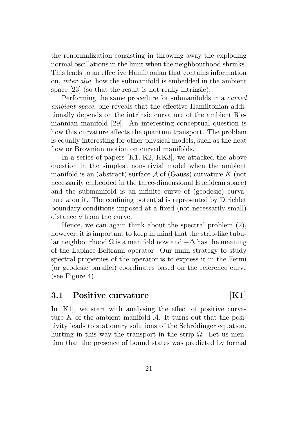the renormalization consisting in throwing away the exploding normal oscillations in the limit when the neighbourhood shrinks. This leads to an effective Hamiltonian that contains information on, inter alia, how the submanifold is embedded in the ambient space [23] (so that the result is not really intrinsic).

Performing the same procedure for submanifolds in a curved ambient space, one reveals that the effective Hamiltonian additionally depends on the intrinsic curvature of the ambient Riemannian manifold [29]. An interesting conceptual question is how this curvature affects the quantum transport. The problem is equally interesting for other physical models, such as the heat flow or Brownian motion on curved manifolds.

In a series of papers [K1, K2, KK3], we attacked the above question in the simplest non-trivial model when the ambient manifold is an (abstract) surface  $A$  of (Gauss) curvature  $K$  (not necessarily embedded in the three-dimensional Euclidean space) and the submanifold is an infinite curve of (geodesic) curvature  $\kappa$  on it. The confining potential is represented by Dirichlet boundary conditions imposed at a fixed (not necessarily small) distance a from the curve.

Hence, we can again think about the spectral problem (2), however, it is important to keep in mind that the strip-like tubular neighbourhood  $\Omega$  is a manifold now and  $-\Delta$  has the meaning of the Laplace-Beltrami operator. Our main strategy to study spectral properties of the operator is to express it in the Fermi (or geodesic parallel) coordinates based on the reference curve (see Figure 4).

#### 3.1 Positive curvature [K1]

In [K1], we start with analysing the effect of positive curvature K of the ambient manifold  $\mathcal{A}$ . It turns out that the positivity leads to stationary solutions of the Schrödinger equation, hurting in this way the transport in the strip  $\Omega$ . Let us mention that the presence of bound states was predicted by formal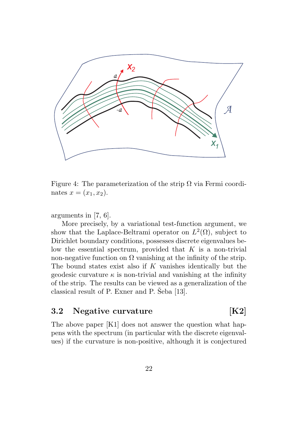

Figure 4: The parameterization of the strip  $\Omega$  via Fermi coordinates  $x = (x_1, x_2)$ .

arguments in [7, 6].

More precisely, by a variational test-function argument, we show that the Laplace-Beltrami operator on  $L^2(\Omega)$ , subject to Dirichlet boundary conditions, possesses discrete eigenvalues below the essential spectrum, provided that  $K$  is a non-trivial non-negative function on  $\Omega$  vanishing at the infinity of the strip. The bound states exist also if  $K$  vanishes identically but the geodesic curvature  $\kappa$  is non-trivial and vanishing at the infinity of the strip. The results can be viewed as a generalization of the classical result of P. Exner and P. Šeba  $[13]$ .

### 3.2 Negative curvature [K2]

The above paper [K1] does not answer the question what happens with the spectrum (in particular with the discrete eigenvalues) if the curvature is non-positive, although it is conjectured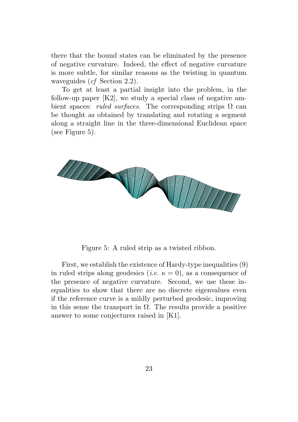there that the bound states can be eliminated by the presence of negative curvature. Indeed, the effect of negative curvature is more subtle, for similar reasons as the twisting in quantum waveguides (cf Section 2.2).

To get at least a partial insight into the problem, in the follow-up paper [K2], we study a special class of negative ambient spaces: *ruled surfaces*. The corresponding strips  $\Omega$  can be thought as obtained by translating and rotating a segment along a straight line in the three-dimensional Euclidean space (see Figure 5).



Figure 5: A ruled strip as a twisted ribbon.

First, we establish the existence of Hardy-type inequalities (9) in ruled strips along geodesics (*i.e.*  $\kappa = 0$ ), as a consequence of the presence of negative curvature. Second, we use these inequalities to show that there are no discrete eigenvalues even if the reference curve is a mildly perturbed geodesic, improving in this sense the transport in  $\Omega$ . The results provide a positive answer to some conjectures raised in [K1].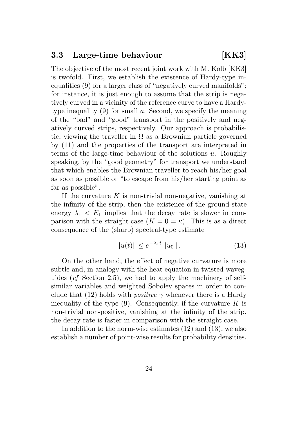### 3.3 Large-time behaviour [KK3]

The objective of the most recent joint work with M. Kolb [KK3] is twofold. First, we establish the existence of Hardy-type inequalities (9) for a larger class of "negatively curved manifolds"; for instance, it is just enough to assume that the strip is negatively curved in a vicinity of the reference curve to have a Hardytype inequality (9) for small a. Second, we specify the meaning of the "bad" and "good" transport in the positively and negatively curved strips, respectively. Our approach is probabilistic, viewing the traveller in  $\Omega$  as a Brownian particle governed by (11) and the properties of the transport are interpreted in terms of the large-time behaviour of the solutions  $u$ . Roughly speaking, by the "good geometry" for transport we understand that which enables the Brownian traveller to reach his/her goal as soon as possible or "to escape from his/her starting point as far as possible".

If the curvature  $K$  is non-trivial non-negative, vanishing at the infinity of the strip, then the existence of the ground-state energy  $\lambda_1 \leq E_1$  implies that the decay rate is slower in comparison with the straight case  $(K = 0 = \kappa)$ . This is as a direct consequence of the (sharp) spectral-type estimate

$$
||u(t)|| \le e^{-\lambda_1 t} ||u_0||. \tag{13}
$$

On the other hand, the effect of negative curvature is more subtle and, in analogy with the heat equation in twisted waveguides (cf Section 2.5), we had to apply the machinery of selfsimilar variables and weighted Sobolev spaces in order to conclude that (12) holds with *positive*  $\gamma$  whenever there is a Hardy inequality of the type  $(9)$ . Consequently, if the curvature K is non-trivial non-positive, vanishing at the infinity of the strip, the decay rate is faster in comparison with the straight case.

In addition to the norm-wise estimates (12) and (13), we also establish a number of point-wise results for probability densities.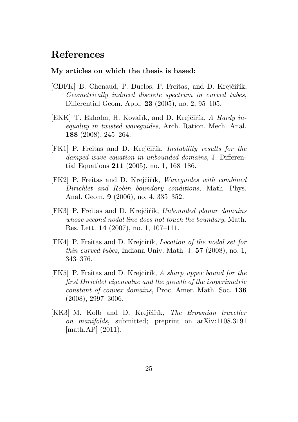## References

#### My articles on which the thesis is based:

- [CDFK] B. Chenaud, P. Duclos, P. Freitas, and D. Krejčiřík, Geometrically induced discrete spectrum in curved tubes, Differential Geom. Appl. 23 (2005), no. 2, 95–105.
- [EKK] T. Ekholm, H. Kovařík, and D. Krejčiřík, A Hardy inequality in twisted waveguides, Arch. Ration. Mech. Anal. 188 (2008), 245–264.
- [FK1] P. Freitas and D. Krejčiřík, *Instability results for the* damped wave equation in unbounded domains, J. Differential Equations 211 (2005), no. 1, 168–186.
- [FK2] P. Freitas and D. Krejčiřík, Waveguides with combined Dirichlet and Robin boundary conditions, Math. Phys. Anal. Geom. 9 (2006), no. 4, 335–352.
- [FK3] P. Freitas and D. Krejčiřík, Unbounded planar domains whose second nodal line does not touch the boundary, Math. Res. Lett. 14 (2007), no. 1, 107–111.
- [FK4] P. Freitas and D. Krejčiřík, Location of the nodal set for *thin curved tubes*, Indiana Univ. Math. J.  $57$  (2008), no. 1, 343–376.
- [FK5] P. Freitas and D. Krejčiřík, A sharp upper bound for the first Dirichlet eigenvalue and the growth of the isoperimetric constant of convex domains, Proc. Amer. Math. Soc. 136 (2008), 2997–3006.
- [KK3] M. Kolb and D. Krejčiřík, *The Brownian traveller* on manifolds, submitted; preprint on arXiv:1108.3191 [math.AP] (2011).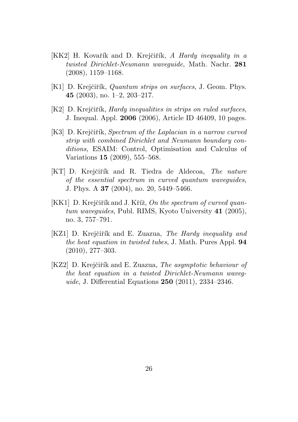- [KK2] H. Kovařík and D. Krejčiřík, A Hardy inequality in a twisted Dirichlet-Neumann waveguide, Math. Nachr. 281 (2008), 1159–1168.
- [K1] D. Krejčiřík, *Quantum strips on surfaces*, J. Geom. Phys. 45 (2003), no. 1–2, 203–217.
- [K2] D. Krejčiřík, *Hardy inequalities in strips on ruled surfaces*, J. Inequal. Appl. 2006 (2006), Article ID 46409, 10 pages.
- [K3] D. Krejčiřík, Spectrum of the Laplacian in a narrow curved strip with combined Dirichlet and Neumann boundary conditions, ESAIM: Control, Optimisation and Calculus of Variations 15 (2009), 555–568.
- [KT] D. Krejčiřík and R. Tiedra de Aldecoa, The nature of the essential spectrum in curved quantum waveguides, J. Phys. A 37 (2004), no. 20, 5449–5466.
- [KK1] D. Krejčiřík and J. Kříž, On the spectrum of curved quantum waveguides, Publ. RIMS, Kyoto University 41 (2005), no. 3, 757–791.
- [KZ1] D. Krejčiřík and E. Zuazua, *The Hardy inequality and* the heat equation in twisted tubes, J. Math. Pures Appl. 94 (2010), 277–303.
- [KZ2] D. Krejčiřík and E. Zuazua, *The asymptotic behaviour of* the heat equation in a twisted Dirichlet-Neumann waveguide, J. Differential Equations 250 (2011), 2334–2346.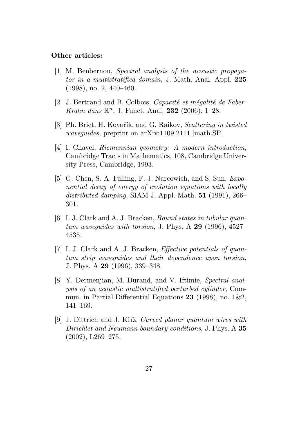#### Other articles:

- [1] M. Benbernou, Spectral analysis of the acoustic propagator in a multistratified domain, J. Math. Anal. Appl. 225 (1998), no. 2, 440–460.
- [2] J. Bertrand and B. Colbois, *Capacité et inégalité de Faber-*Krahn dans  $\mathbb{R}^n$ , J. Funct. Anal. 232 (2006), 1-28.
- [3] Ph. Briet, H. Kovařík, and G. Raikov, Scattering in twisted waveguides, preprint on arXiv:1109.2111 [math.SP].
- [4] I. Chavel, Riemannian geometry: A modern introduction, Cambridge Tracts in Mathematics, 108, Cambridge University Press, Cambridge, 1993.
- [5] G. Chen, S. A. Fulling, F. J. Narcowich, and S. Sun, Exponential decay of energy of evolution equations with locally distributed damping, SIAM J. Appl. Math.  $51$  (1991), 266– 301.
- [6] I. J. Clark and A. J. Bracken, Bound states in tubular quantum wavequides with torsion, J. Phys. A  $29$  (1996), 4527– 4535.
- [7] I. J. Clark and A. J. Bracken, Effective potentials of quantum strip waveguides and their dependence upon torsion, J. Phys. A 29 (1996), 339–348.
- [8] Y. Dermenjian, M. Durand, and V. Iftimie, Spectral analysis of an acoustic multistratified perturbed cylinder, Commun. in Partial Differential Equations 23 (1998), no. 1&2, 141–169.
- [9] J. Dittrich and J. Kříž, Curved planar quantum wires with Dirichlet and Neumann boundary conditions, J. Phys. A 35 (2002), L269–275.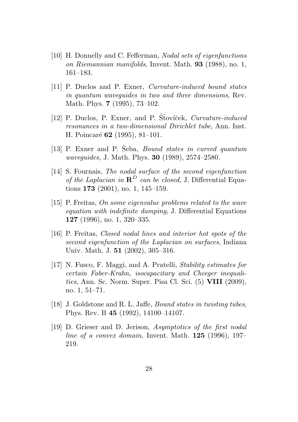- [10] H. Donnelly and C. Fefferman, Nodal sets of eigenfunctions on Riemannian manifolds, Invent. Math. 93 (1988), no. 1, 161–183.
- [11] P. Duclos and P. Exner, Curvature-induced bound states in quantum waveguides in two and three dimensions, Rev. Math. Phys. 7 (1995), 73–102.
- [12] P. Duclos, P. Exner, and P. Šťovíček, Curvature-induced resonances in a two-dimensional Dirichlet tube, Ann. Inst. H. Poincaré 62 (1995), 81–101.
- [13] P. Exner and P. Šeba, *Bound states in curved quantum* waveguides, J. Math. Phys. 30 (1989), 2574–2580.
- [14] S. Fournais, The nodal surface of the second eigenfunction of the Laplacian in  $\mathbb{R}^D$  can be closed, J. Differential Equations 173 (2001), no. 1, 145–159.
- [15] P. Freitas, On some eigenvalue problems related to the wave equation with indefinite damping, J. Differential Equations 127 (1996), no. 1, 320–335.
- [16] P. Freitas, Closed nodal lines and interior hot spots of the second eigenfunction of the Laplacian on surfaces, Indiana Univ. Math. J. 51 (2002), 305–316.
- [17] N. Fusco, F. Maggi, and A. Pratelli, Stability estimates for certain Faber-Krahn, isocapacitary and Cheeger inequalities, Ann. Sc. Norm. Super. Pisa Cl. Sci. (5) VIII (2009), no. 1, 51–71.
- [18] J. Goldstone and R. L. Jaffe, Bound states in twisting tubes, Phys. Rev. B 45 (1992), 14100–14107.
- [19] D. Grieser and D. Jerison, Asymptotics of the first nodal line of a convex domain, Invent. Math. 125 (1996), 197– 219.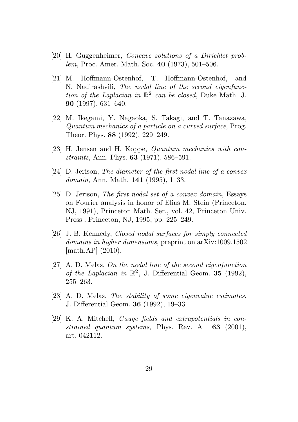- [20] H. Guggenheimer, Concave solutions of a Dirichlet problem, Proc. Amer. Math. Soc. 40 (1973), 501–506.
- [21] M. Hoffmann-Ostenhof, T. Hoffmann-Ostenhof, and N. Nadirashvili, The nodal line of the second eigenfunction of the Laplacian in  $\mathbb{R}^2$  can be closed, Duke Math. J. 90 (1997), 631–640.
- [22] M. Ikegami, Y. Nagaoka, S. Takagi, and T. Tanazawa, Quantum mechanics of a particle on a curved surface, Prog. Theor. Phys. 88 (1992), 229–249.
- [23] H. Jensen and H. Koppe, *Quantum mechanics with con*straints, Ann. Phys. 63 (1971), 586–591.
- [24] D. Jerison, The diameter of the first nodal line of a convex domain, Ann. Math. 141 (1995), 1–33.
- [25] D. Jerison, The first nodal set of a convex domain, Essays on Fourier analysis in honor of Elias M. Stein (Princeton, NJ, 1991), Princeton Math. Ser., vol. 42, Princeton Univ. Press., Princeton, NJ, 1995, pp. 225–249.
- [26] J. B. Kennedy, Closed nodal surfaces for simply connected domains in higher dimensions, preprint on arXiv:1009.1502 [math.AP] (2010).
- [27] A. D. Melas, On the nodal line of the second eigenfunction of the Laplacian in  $\mathbb{R}^2$ , J. Differential Geom. 35 (1992), 255–263.
- [28] A. D. Melas, The stability of some eigenvalue estimates, J. Differential Geom. 36 (1992), 19–33.
- [29] K. A. Mitchell, Gauge fields and extrapotentials in constrained quantum systems, Phys. Rev.  $A \quad 63 \quad (2001)$ , art. 042112.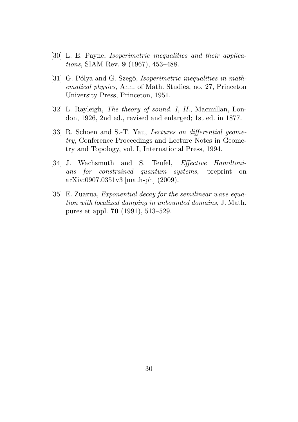- [30] L. E. Payne, Isoperimetric inequalities and their applications, SIAM Rev. 9 (1967), 453–488.
- [31] G. Pólya and G. Szegö, *Isoperimetric inequalities in math*ematical physics, Ann. of Math. Studies, no. 27, Princeton University Press, Princeton, 1951.
- [32] L. Rayleigh, The theory of sound. I, II., Macmillan, London, 1926, 2nd ed., revised and enlarged; 1st ed. in 1877.
- [33] R. Schoen and S.-T. Yau, *Lectures on differential geome*try, Conference Proceedings and Lecture Notes in Geometry and Topology, vol. I, International Press, 1994.
- [34] J. Wachsmuth and S. Teufel, Effective Hamiltonians for constrained quantum systems, preprint on arXiv:0907.0351v3 [math-ph] (2009).
- [35] E. Zuazua, Exponential decay for the semilinear wave equation with localized damping in unbounded domains, J. Math. pures et appl. 70 (1991), 513–529.